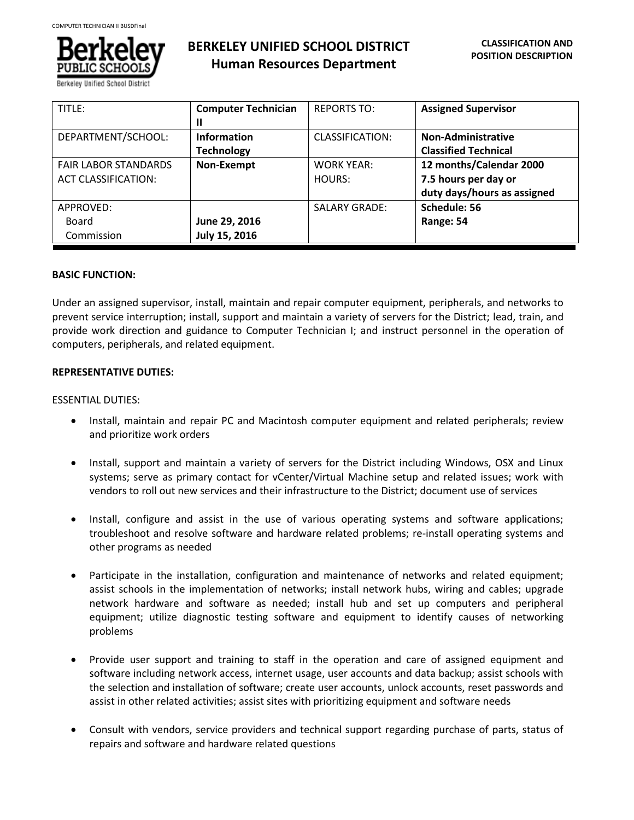

Berkelev Unified School Dist

| TITLE:                      | <b>Computer Technician</b> | <b>REPORTS TO:</b>     | <b>Assigned Supervisor</b>  |
|-----------------------------|----------------------------|------------------------|-----------------------------|
|                             | Ш                          |                        |                             |
| DEPARTMENT/SCHOOL:          | <b>Information</b>         | <b>CLASSIFICATION:</b> | <b>Non-Administrative</b>   |
|                             | <b>Technology</b>          |                        | <b>Classified Technical</b> |
| <b>FAIR LABOR STANDARDS</b> | Non-Exempt                 | WORK YEAR:             | 12 months/Calendar 2000     |
| <b>ACT CLASSIFICATION:</b>  |                            | HOURS:                 | 7.5 hours per day or        |
|                             |                            |                        | duty days/hours as assigned |
| APPROVED:                   |                            | <b>SALARY GRADE:</b>   | Schedule: 56                |
| Board                       | June 29, 2016              |                        | Range: 54                   |
| Commission                  | July 15, 2016              |                        |                             |

# **BASIC FUNCTION:**

Under an assigned supervisor, install, maintain and repair computer equipment, peripherals, and networks to prevent service interruption; install, support and maintain a variety of servers for the District; lead, train, and provide work direction and guidance to Computer Technician I; and instruct personnel in the operation of computers, peripherals, and related equipment.

# **REPRESENTATIVE DUTIES:**

# ESSENTIAL DUTIES:

- Install, maintain and repair PC and Macintosh computer equipment and related peripherals; review and prioritize work orders
- Install, support and maintain a variety of servers for the District including Windows, OSX and Linux systems; serve as primary contact for vCenter/Virtual Machine setup and related issues; work with vendors to roll out new services and their infrastructure to the District; document use of services
- Install, configure and assist in the use of various operating systems and software applications; troubleshoot and resolve software and hardware related problems; re-install operating systems and other programs as needed
- Participate in the installation, configuration and maintenance of networks and related equipment; assist schools in the implementation of networks; install network hubs, wiring and cables; upgrade network hardware and software as needed; install hub and set up computers and peripheral equipment; utilize diagnostic testing software and equipment to identify causes of networking problems
- Provide user support and training to staff in the operation and care of assigned equipment and software including network access, internet usage, user accounts and data backup; assist schools with the selection and installation of software; create user accounts, unlock accounts, reset passwords and assist in other related activities; assist sites with prioritizing equipment and software needs
- Consult with vendors, service providers and technical support regarding purchase of parts, status of repairs and software and hardware related questions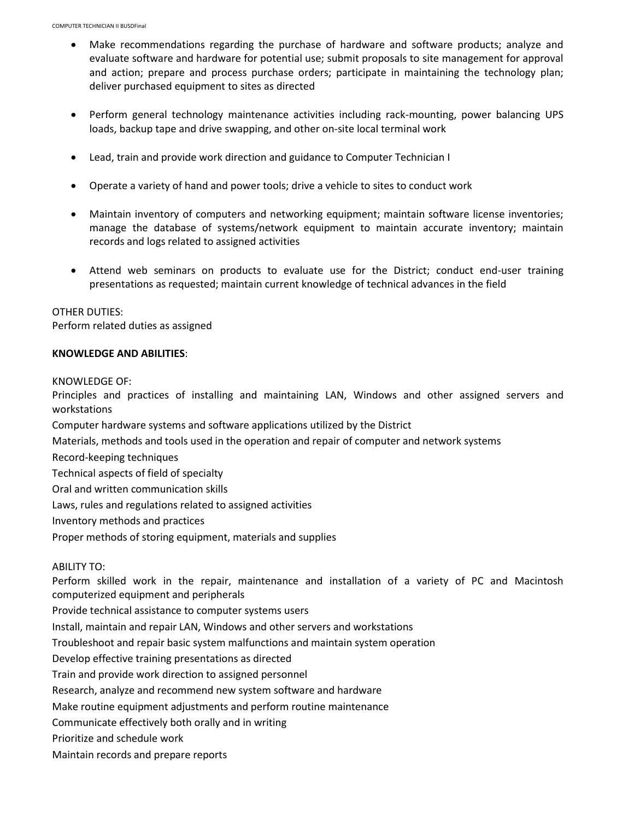- Make recommendations regarding the purchase of hardware and software products; analyze and evaluate software and hardware for potential use; submit proposals to site management for approval and action; prepare and process purchase orders; participate in maintaining the technology plan; deliver purchased equipment to sites as directed
- Perform general technology maintenance activities including rack-mounting, power balancing UPS loads, backup tape and drive swapping, and other on-site local terminal work
- Lead, train and provide work direction and guidance to Computer Technician I
- Operate a variety of hand and power tools; drive a vehicle to sites to conduct work
- Maintain inventory of computers and networking equipment; maintain software license inventories; manage the database of systems/network equipment to maintain accurate inventory; maintain records and logs related to assigned activities
- Attend web seminars on products to evaluate use for the District; conduct end-user training presentations as requested; maintain current knowledge of technical advances in the field

### OTHER DUTIES:

Perform related duties as assigned

### **KNOWLEDGE AND ABILITIES**:

KNOWLEDGE OF:

Principles and practices of installing and maintaining LAN, Windows and other assigned servers and workstations

Computer hardware systems and software applications utilized by the District

Materials, methods and tools used in the operation and repair of computer and network systems

Record-keeping techniques

Technical aspects of field of specialty

Oral and written communication skills

Laws, rules and regulations related to assigned activities

Inventory methods and practices

Proper methods of storing equipment, materials and supplies

### ABILITY TO:

Perform skilled work in the repair, maintenance and installation of a variety of PC and Macintosh computerized equipment and peripherals

Provide technical assistance to computer systems users

Install, maintain and repair LAN, Windows and other servers and workstations

Troubleshoot and repair basic system malfunctions and maintain system operation

Develop effective training presentations as directed

Train and provide work direction to assigned personnel

Research, analyze and recommend new system software and hardware

Make routine equipment adjustments and perform routine maintenance

Communicate effectively both orally and in writing

Prioritize and schedule work

Maintain records and prepare reports